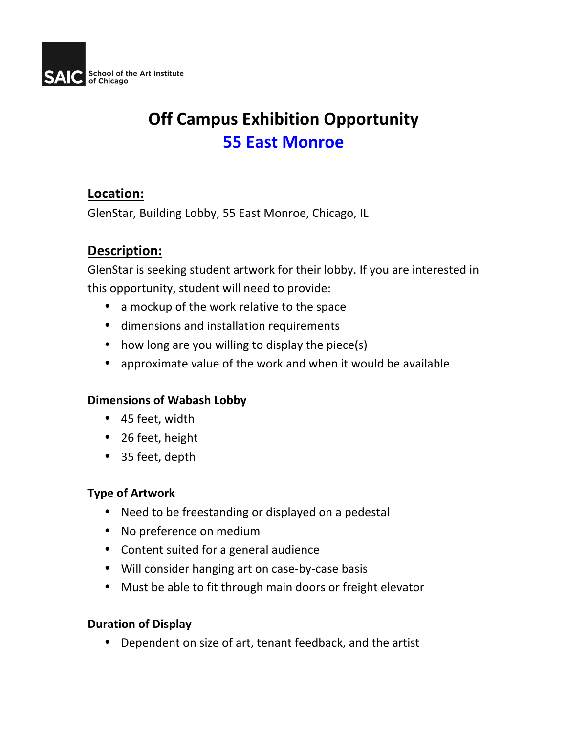

# **Off Campus Exhibition Opportunity 55 East Monroe**

## Location:

GlenStar, Building Lobby, 55 East Monroe, Chicago, IL

# **Description:**

GlenStar is seeking student artwork for their lobby. If you are interested in this opportunity, student will need to provide:

- a mockup of the work relative to the space
- dimensions and installation requirements
- how long are you willing to display the piece(s)
- approximate value of the work and when it would be available

#### **Dimensions of Wabash Lobby**

- 45 feet, width
- 26 feet, height
- 35 feet, depth

## **Type of Artwork**

- Need to be freestanding or displayed on a pedestal
- No preference on medium
- Content suited for a general audience
- Will consider hanging art on case-by-case basis
- Must be able to fit through main doors or freight elevator

#### **Duration of Display**

• Dependent on size of art, tenant feedback, and the artist